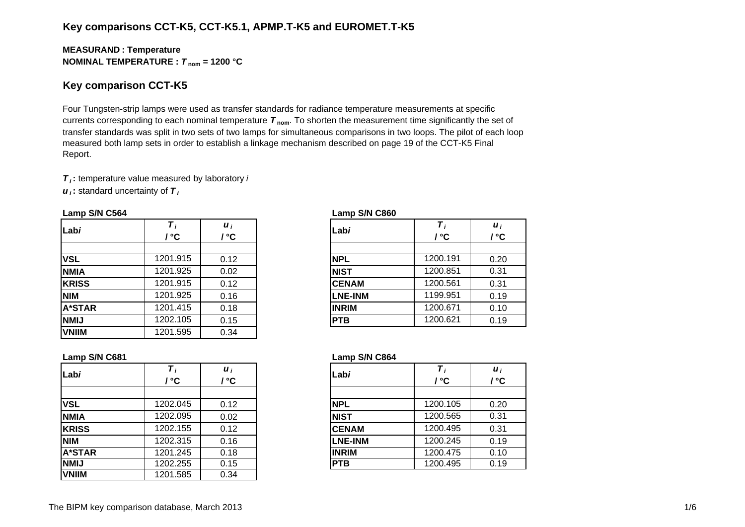## **Key comparisons CCT-K5, CCT-K5.1, APMP.T-K5 and EUROMET.T-K5**

#### **MEASURAN D : Temperature NOMINAL TEMPERATURE :**  *T* **nom = 1200 °C**

### **Key comparison CCT-K5**

Four Tungsten-strip lamps were used as transfer standards for radiance temperature measurements at specific currents corresponding to each nominal temperature *T* **nom**. To shorten the measurement time significantly the set of transfer standards was split in two sets of two lamps for simultaneous comparisons in two loops. The pilot of each loop measured both lamp sets in order to establish a linkage mechanism described on page 19 of the CCT-K5 Final Report.

*T i* **:** temperature value measured by laboratory *i*

*u i* **:** standard uncertainty of *T i*

| Labi          | $\overline{T}_i$<br>' °C | $\boldsymbol{u}_i$<br>/ °C | Labi           | / °C     | $\boldsymbol{u}_i$<br>/ °C |
|---------------|--------------------------|----------------------------|----------------|----------|----------------------------|
| <b>VSL</b>    | 1201.915                 | 0.12                       | <b>NPL</b>     | 1200.191 | 0.20                       |
| <b>NMIA</b>   | 1201.925                 | 0.02                       | <b>NIST</b>    | 1200.851 | 0.31                       |
| <b>KRISS</b>  | 1201.915                 | 0.12                       | <b>CENAM</b>   | 1200.561 | 0.31                       |
| <b>NIM</b>    | 1201.925                 | 0.16                       | <b>LNE-INM</b> | 1199.951 | 0.19                       |
| <b>A*STAR</b> | 1201.415                 | 0.18                       | <b>INRIM</b>   | 1200.671 | 0.10                       |
| <b>NMIJ</b>   | 1202.105                 | 0.15                       | <b>PTB</b>     | 1200.621 | 0.19                       |
| <b>VNIIM</b>  | 1201.595                 | 0.34                       |                |          |                            |

#### **Lamp S/N C564 Lamp S/N C860**

| i<br>C.         | Labi           | Τ,<br>/ °C | $\boldsymbol{u}_i$<br>/ °C |
|-----------------|----------------|------------|----------------------------|
|                 |                |            |                            |
| $\overline{12}$ | <b>NPL</b>     | 1200.191   | 0.20                       |
| $\overline{2}$  | <b>NIST</b>    | 1200.851   | 0.31                       |
| $\overline{12}$ | <b>CENAM</b>   | 1200.561   | 0.31                       |
| 16              | <b>LNE-INM</b> | 1199.951   | 0.19                       |
| $\overline{18}$ | <b>INRIM</b>   | 1200.671   | 0.10                       |
| 15              | <b>PTB</b>     | 1200.621   | 0.19                       |

| Labi          | ' °C     | $\boldsymbol{u}_i$<br>°° | Labi           | / °C     | $\boldsymbol{u}_i$<br>/ °C |
|---------------|----------|--------------------------|----------------|----------|----------------------------|
|               |          |                          |                |          |                            |
| <b>VSL</b>    | 1202.045 | 0.12                     | <b>NPL</b>     | 1200.105 | 0.20                       |
| <b>NMIA</b>   | 1202.095 | 0.02                     | <b>NIST</b>    | 1200.565 | 0.31                       |
| <b>KRISS</b>  | 1202.155 | 0.12                     | <b>CENAM</b>   | 1200.495 | 0.31                       |
| <b>NIM</b>    | 1202.315 | 0.16                     | <b>LNE-INM</b> | 1200.245 | 0.19                       |
| <b>A*STAR</b> | 1201.245 | 0.18                     | <b>INRIM</b>   | 1200.475 | 0.10                       |
| <b>NMIJ</b>   | 1202.255 | 0.15                     | <b>PTB</b>     | 1200.495 | 0.19                       |
| <b>VNIIM</b>  | 1201.585 | 0.34                     |                |          |                            |

#### **Lamp S/N C681 Lamp S/N C864**

| i<br>C          | Labi           | / °C     | $\boldsymbol{u}_i$<br>/ °C |
|-----------------|----------------|----------|----------------------------|
| $\overline{12}$ | <b>NPL</b>     | 1200.105 | 0.20                       |
| $\overline{2}$  | <b>NIST</b>    | 1200.565 | 0.31                       |
| $\overline{12}$ | <b>CENAM</b>   | 1200.495 | 0.31                       |
| 16              | <b>LNE-INM</b> | 1200.245 | 0.19                       |
| 18              | <b>INRIM</b>   | 1200.475 | 0.10                       |
| $\overline{15}$ | <b>PTB</b>     | 1200.495 | 0.19                       |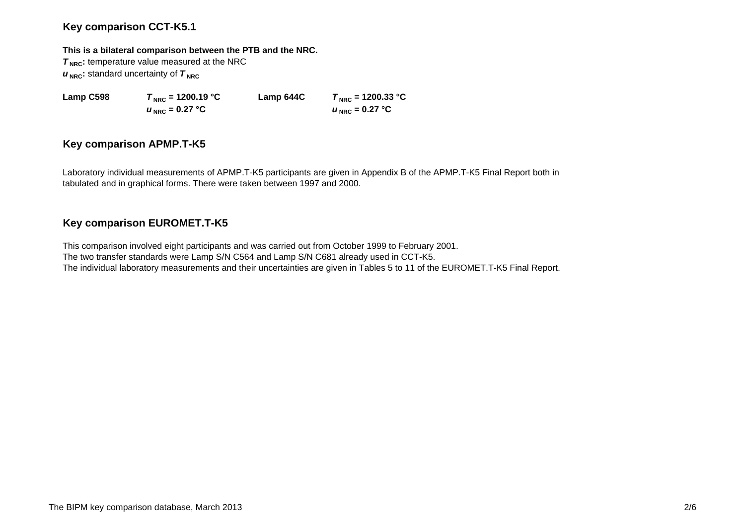## **Key comparison CCT-K5.1**

#### **This is a bilateral comparison between the PTB and the NRC.**

**T<sub>NRC</sub>**: temperature value measured at the NRC  $u_{\text{NRC}}$ : standard uncertainty of  $\tau_{\text{NRC}}$ 

 $u_{\text{NRC}} = 0.27$  °C

**Lamp C598**  $T_{\text{NRC}} = 1200.19 \text{ °C}$  **Lamp 644C**  $T_{\text{NRC}} = 1200.33 \text{ °C}$  $U_{NRC} = 0.27$  °C

## **Key comparison APMP.T-K5**

Laboratory individual measurements of APMP.T-K5 participants are given in Appendix B of the APMP.T-K5 Final Report both in tabulated and in graphical forms. There were taken between 1997 and 2000.

# **Key comparison EUROMET.T-K5**

This comparison involved eight participants and was carried out from October 1999 to February 2001. The two transfer standards were Lamp S/N C564 and Lamp S/N C681 already used in CCT-K5. The individual laboratory measurements and their uncertainties are given in Tables 5 to 11 of the EUROMET.T-K5 Final Report.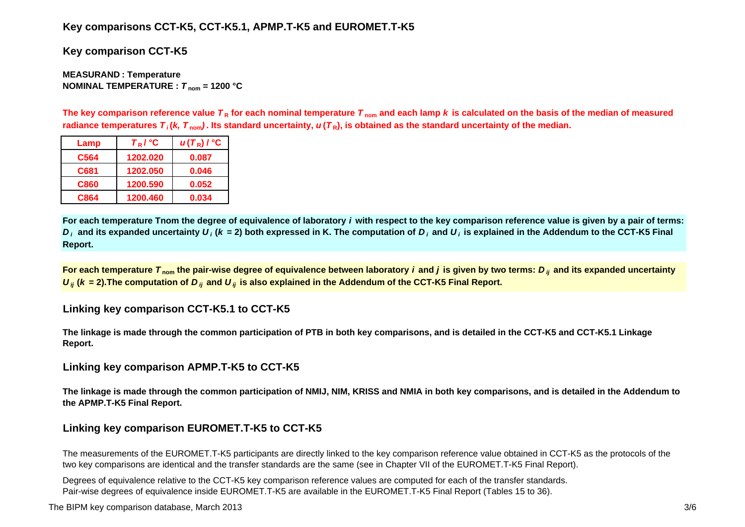## **Key comparisons CCT-K5, CCT-K5.1, APMP.T-K5 and EUROMET.T-K5**

**Key comparison CCT-K5**

**MEASURAN D : Temperature NOMINAL TEMPERATURE :**  *T* **nom = 1200 °C**

The key comparison reference value  $\bm{\tau}_{\mathsf{R}}$  for each nominal temperature  $\bm{\tau}_{\mathsf{nom}}$  and each lamp  $\bm{k}$  is calculated on the basis of the median of measured radiance temperatures  $\bm{\tau}_i$ (*k, T*  $_{\rm nom}$ ). Its standard uncertainty,  $\bm{u}(\bm{\tau}_{{\sf R}})$ , is obtained as the standard uncertainty of the median.

| Lamp        | $T_R$ / $^{\circ}$ C | $u(T_R)$ / $^{\circ}$ C |
|-------------|----------------------|-------------------------|
| C564        | 1202.020             | 0.087                   |
| C681        | 1202.050             | 0.046                   |
| <b>C860</b> | 1200.590             | 0.052                   |
| C864        | 1200.460             | 0.034                   |

**For each temperature Tnom the degree of equivalence of laboratory** *i* **with respect to the key comparison reference value is given by a pair of terms:**   $D_i$  and its expanded uncertainty  $U_i$  (k = 2) both expressed in K. The computation of  $D_i$  and  $U_i$  is explained in the Addendum to the CCT-K5 Final **Report.**

**For each temperature**  *T* **nom the pair-wise degree of equivalence between laboratory** *i* **and** *j* **is given by two terms:***<sup>D</sup> ij* **and its expanded uncertainty**   $U_{ij}$  ( $k$  = 2).The computation of  $D_{ij}$  and  $U_{ij}$  is also explained in the Addendum of the CCT-K5 Final Report.

**Linking key comparison CCT-K5.1 to CCT-K5**

**The linkage is made through the common participation of PTB in both key comparisons, and is detailed in the CCT-K5 and CCT-K5.1 Linkage Report.**

**Linking key comparison APMP.T-K5 to CCT-K5**

**The linkage is made through the common participation of NMIJ, NIM, KRISS and NMIA in both key comparisons, and is detailed in the Addendum to the APMP.T-K5 Final Report.**

# **Linking key comparison EUROMET.T-K5 to CCT-K5**

The measurements of the EUROMET.T-K5 participants are directly linked to the key comparison reference value obtained in CCT-K5 as the protocols of the two key comparisons are identical and the transfer standards are the same (see in Chapter VII of the EUROMET.T-K5 Final Report).

Degrees of equivalence relative to the CCT-K5 key comparison reference values are computed for each of the transfer standards. Pair-wise degrees of equivalence inside EUROMET.T-K5 are available in the EUROMET.T-K5 Final Report (Tables 15 to 36).

The BIPM key comparison database, March 2013 3/6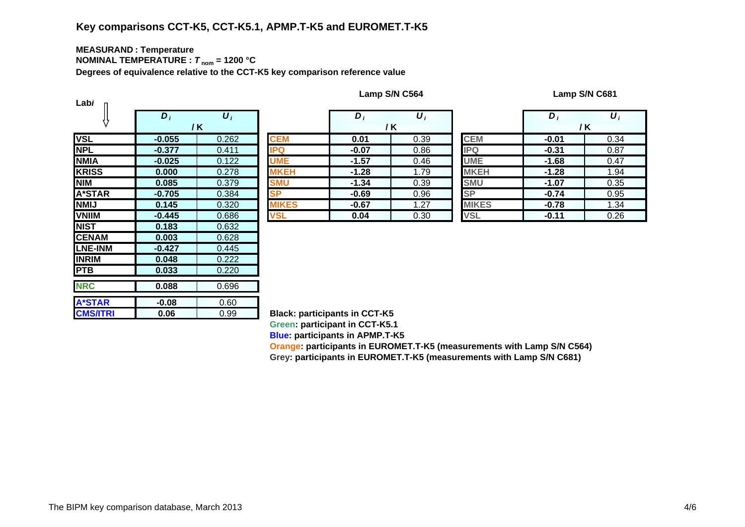# **Key comparisons CCT-K5, CCT-K5.1, APMP.T-K5 and EUROMET.T-K5**

#### **MEASURAN D : Temperature NOMINAL TEMPERATURE :**  *T* **nom = 1200 °C**

**Degrees of equivalence relative to the CCT-K5 key comparison reference value**

| Labi            |                  |                       |               |
|-----------------|------------------|-----------------------|---------------|
|                 | $\overline{D_i}$ | $\overline{\bm{U}_i}$ |               |
|                 |                  | / K                   |               |
| <b>VSL</b>      | $-0.055$         | 0.262                 | <b>CEM</b>    |
| <b>NPL</b>      | $-0.377$         | 0.411                 | <b>IPQ</b>    |
| <b>NMIA</b>     | $-0.025$         | 0.122                 | <b>UME</b>    |
| <b>KRISS</b>    | 0.000            | 0.278                 | <b>MKEH</b>   |
| <b>NIM</b>      | 0.085            | 0.379                 | <b>SMU</b>    |
| A*STAR          | $-0.705$         | 0.384                 | <b>SP</b>     |
| <b>NMIJ</b>     | 0.145            | 0.320                 | <b>MIKES</b>  |
| <b>VNIIM</b>    | $-0.445$         | 0.686                 | <b>VSL</b>    |
| <b>NIST</b>     | 0.183            | 0.632                 |               |
| <b>CENAM</b>    | 0.003            | 0.628                 |               |
| <b>LNE-INM</b>  | -0.427           | 0.445                 |               |
| <b>INRIM</b>    | 0.048            | 0.222                 |               |
| <b>PTB</b>      | 0.033            | 0.220                 |               |
| <b>NRC</b>      | 0.088            | 0.696                 |               |
|                 |                  |                       |               |
| <b>A*STAR</b>   | $-0.08$          | 0.60                  |               |
| <b>CMS/ITRI</b> | 0.06             | 0.99                  | <b>Black:</b> |

|  | Lamp S/N C564 |
|--|---------------|
|--|---------------|

**Lamp S/N C564 Lamp S/N C681**

|                               | $D_i$    | $\boldsymbol{U}_i$   |              | D       | $\boldsymbol{U}$ |              | D       | $\boldsymbol{U}_i$ |
|-------------------------------|----------|----------------------|--------------|---------|------------------|--------------|---------|--------------------|
|                               |          | / K                  |              | / K     |                  |              | /K      |                    |
|                               | $-0.055$ | 0.262                | <b>CEM</b>   | 0.01    | 0.39             | <b>CEM</b>   | $-0.01$ | 0.34               |
|                               | $-0.377$ | 0.411                | <b>IPQ</b>   | $-0.07$ | 0.86             | <b>IPQ</b>   | $-0.31$ | 0.87               |
| А                             | $-0.025$ | 0.122                | <b>UME</b>   | $-1.57$ | 0.46             | <b>UME</b>   | $-1.68$ | 0.47               |
| $\overline{\text{s}}\text{s}$ | 0.000    | 0.278                | <b>MKEH</b>  | $-1.28$ | 1.79             | <b>MKEH</b>  | $-1.28$ | 1.94               |
|                               | 0.085    | 0.379                | <b>SMU</b>   | $-1.34$ | 0.39             | <b>SMU</b>   | $-1.07$ | 0.35               |
| TAR                           | $-0.705$ | 0.384                | <b>SP</b>    | $-0.69$ | 0.96             | <b>SP</b>    | $-0.74$ | 0.95               |
|                               | 0.145    | 0.320                | <b>MIKES</b> | $-0.67$ | 1.27             | <b>MIKES</b> | $-0.78$ | 1.34               |
| M                             | $-0.445$ | 0.686                | <b>VSL</b>   | 0.04    | 0.30             | <b>VSL</b>   | $-0.11$ | 0.26               |
|                               | ----     | $\sim$ $\sim$ $\sim$ |              |         |                  |              |         |                    |

|           | $\bm{D}_i$ | $\boldsymbol{U}_i$ |                        | D,      | $\boldsymbol{U}_i$ |  |  |
|-----------|------------|--------------------|------------------------|---------|--------------------|--|--|
|           |            | / K                |                        | / K     |                    |  |  |
|           | 0.01       | 0.39               | <b>CEM</b>             | $-0.01$ | 0.34               |  |  |
|           | $-0.07$    | 0.86               | <b>IPQ</b>             | $-0.31$ | 0.87               |  |  |
|           | $-1.57$    | 0.46               | <b>UME</b>             | $-1.68$ | 0.47               |  |  |
| Н         | $-1.28$    | 1.79               | <b>MKEH</b>            | $-1.28$ | 1.94               |  |  |
|           | $-1.34$    | 0.39               | <b>SMU</b>             | $-1.07$ | 0.35               |  |  |
|           | $-0.69$    | 0.96               | $\overline{\text{SP}}$ | $-0.74$ | 0.95               |  |  |
| <u>:S</u> | $-0.67$    | 1.27               | <b>MIKES</b>           | $-0.78$ | 1.34               |  |  |
|           | 0.04       | 0.30               | <b>VSL</b>             | $-0.11$ | 0.26               |  |  |

**Black: participants in CCT-K5 Green: participant in CCT-K5.1 Blue: participants in APMP.T-K5**

**Oran g e: participants in EUROMET.T-K5 (measurements with Lamp S/N C564) Gre y: participants in EUROMET.T-K5 (measurements with Lamp S/N C681)**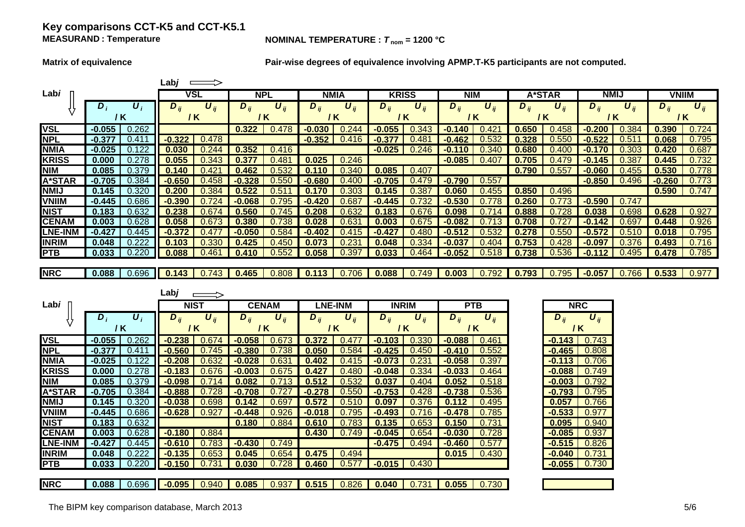## **Key comparisons CCT-K5 and CCT-K5.1 MEASURAND**

#### **NOMINAL TEMPERATURE :**  $T_{\text{nom}} = 1200 \text{ °C}$

**Matrix of equivalence Pair-wise degrees of equivalence involving APMP.T-K5 participants are not computed.**

|                |          |                    | Labj $\implies$ |                       |          |                       |          |                       |                     |                       |            |                       |          |                       |                  |                       |              |                       |
|----------------|----------|--------------------|-----------------|-----------------------|----------|-----------------------|----------|-----------------------|---------------------|-----------------------|------------|-----------------------|----------|-----------------------|------------------|-----------------------|--------------|-----------------------|
| Labi           |          |                    |                 | <b>VSL</b>            |          | <b>NPL</b>            |          | <b>NMIA</b>           | <b>KRISS</b>        |                       | <b>NIM</b> |                       | A*STAR   |                       | <b>NMIJ</b>      |                       | <b>VNIIM</b> |                       |
|                | $D_i$    | $U_i$              | $D_{ij}$        | $\boldsymbol{U}_{ij}$ | $D_{ij}$ | $\boldsymbol{U}_{ij}$ | $D_{ij}$ | $\boldsymbol{U}_{ij}$ | $\overline{D}_{ij}$ | $\boldsymbol{U}_{ij}$ | $D_{ij}$   | $\boldsymbol{U}_{ii}$ | $D_{ij}$ | $\boldsymbol{U}_{ii}$ | $D_{ii}$         | $\boldsymbol{U}_{ii}$ | $D_{ij}$     | $\boldsymbol{U}_{ij}$ |
|                | / K      |                    | / K             |                       |          | / K                   | / K      |                       | / K                 |                       |            | / K                   |          | / K                   | / K              |                       | / K          |                       |
| <b>VSL</b>     | $-0.055$ | 0.262              |                 |                       | 0.322    | 0.478                 | $-0.030$ | 0.244                 | $-0.055$            | 0.343                 | $-0.140$   | 0.421                 | 0.650    | 0.458                 | $-0.200$         | 0.384                 | 0.390        | 0.724                 |
| <b>NPL</b>     | $-0.377$ | 0.411              | $-0.322$        | 0.478                 |          |                       | $-0.352$ | 0.416                 | $-0.377$            | 0.481                 | $-0.462$   | 0.532                 | 0.328    | 0.550                 | $-0.522$         | 0.511                 | 0.068        | 0.795                 |
| <b>NMIA</b>    | $-0.025$ | 0.122              | 0.030           | 0.244                 | 0.352    | 0.416                 |          |                       | $-0.025$            | 0.246                 | $-0.110$   | 0.340                 | 0.680    | 0.400                 | $-0.170$         | 0.303                 | 0.420        | 0.687                 |
| <b>KRISS</b>   | 0.000    | 0.278              | 0.055           | 0.343                 | 0.377    | 0.481                 | 0.025    | 0.246                 |                     |                       | $-0.085$   | 0.407                 | 0.705    | 0.479                 | $-0.145$         | 0.387                 | 0.445        | 0.732                 |
| <b>NIM</b>     | 0.085    | 0.379              | 0.140           | 0.421                 | 0.462    | 0.532                 | 0.110    | 0.340                 | 0.085               | 0.407                 |            |                       | 0.790    | 0.557                 | $-0.060$         | 0.455                 | 0.530        | 0.778                 |
| A*STAR         | $-0.705$ | 0.384              | $-0.650$        | 0.458                 | $-0.328$ | 0.550                 | $-0.680$ | 0.400                 | $-0.705$            | 0.479                 | $-0.790$   | 0.557                 |          |                       | $-0.850$         | 0.496                 | $-0.260$     | 0.773                 |
| <b>NMIJ</b>    | 0.145    | 0.320              | 0.200           | 0.384                 | 0.522    | 0.511                 | 0.170    | 0.303                 | 0.145               | 0.387                 | 0.060      | 0.455                 | 0.850    | 0.496                 |                  |                       | 0.590        | 0.747                 |
| <b>VNIIM</b>   | $-0.445$ | 0.686              | $-0.390$        | 0.724                 | $-0.068$ | 0.795                 | $-0.420$ | 0.687                 | $-0.445$            | 0.732                 | $-0.530$   | 0.778                 | 0.260    | 0.773                 | $-0.590$         | 0.747                 |              |                       |
| <b>NIST</b>    | 0.183    | 0.632              | 0.238           | 0.674                 | 0.560    | 0.745                 | 0.208    | 0.632                 | 0.183               | 0.676                 | 0.098      | 0.714                 | 0.888    | 0.728                 | 0.038            | 0.698                 | 0.628        | 0.927                 |
| <b>CENAM</b>   | 0.003    | 0.628              | 0.058           | 0.673                 | 0.380    | 0.738                 | 0.028    | 0.631                 | 0.003               | 0.675                 | $-0.082$   | 0.713                 | 0.708    | 0.727                 | $-0.142$         | 0.697                 | 0.448        | 0.926                 |
| <b>LNE-INM</b> | $-0.427$ | 0.445              | $-0.372$        | 0.477                 | $-0.050$ | 0.584                 | $-0.402$ | 0.415                 | $-0.427$            | 0.480                 | $-0.512$   | 0.532                 | 0.278    | 0.550                 | $-0.572$         | 0.510                 | 0.018        | 0.795                 |
| <b>INRIM</b>   | 0.048    | 0.222              | 0.103           | 0.330                 | 0.425    | 0.450                 | 0.073    | 0.231                 | 0.048               | 0.334                 | $-0.037$   | 0.404                 | 0.753    | 0.428                 | $-0.097$         | 0.376                 | 0.493        | 0.716                 |
| <b>PTB</b>     | 0.033    | 0.220              | 0.088           | 0.461                 | 0.410    | 0.552                 | 0.058    | 0.397                 | 0.033               | 0.464                 | $-0.052$   | 0.518                 | 0.738    | 0.536                 | $-0.112$         | 0.495                 | 0.478        | 0.785                 |
|                |          |                    |                 |                       |          |                       |          |                       |                     |                       |            |                       |          |                       |                  |                       |              |                       |
| <b>NRC</b>     | 0.088    | 0.696              |                 | $0.143$ $0.743$       | 0.465    | 0.808                 | 0.113    | 0.706                 | 0.088               | 0.749                 | 0.003      | 0.792                 | 0.793    | 0.795                 | $-0.057$         | 0.766                 | 0.533        | 0.977                 |
|                |          |                    |                 |                       |          |                       |          |                       |                     |                       |            |                       |          |                       |                  |                       |              |                       |
|                |          |                    |                 |                       |          |                       |          |                       |                     |                       |            |                       |          |                       |                  |                       |              |                       |
|                |          |                    | Labj            | $\Rightarrow$         |          |                       |          |                       |                     |                       |            |                       |          |                       |                  |                       |              |                       |
| Labi           |          |                    |                 | <b>NIST</b>           |          | <b>CENAM</b>          |          | <b>LNE-INM</b>        | <b>INRIM</b>        |                       | <b>PTB</b> |                       |          |                       | <b>NRC</b>       |                       |              |                       |
|                | $D_i$    | $\boldsymbol{U}_i$ | $D_{ij}$        | $\boldsymbol{U}_{ij}$ | $D_{ij}$ | $U_{ij}$              | $D_{ii}$ | $U_{ii}$              | $D_{ij}$            | $U_{ij}$              | $D_{ij}$   | $U_{ii}$              |          | $D_{ij}$              | $U_{ii}$         |                       |              |                       |
|                | / K      |                    |                 | $/$ K                 |          | $/$ K                 |          | /K                    | / K                 |                       | /K         |                       |          |                       | / K              |                       |              |                       |
| <b>VSL</b>     | $-0.055$ | 0.262              | $-0.238$        | 0.674                 | $-0.058$ | 0.673                 | 0.372    | 0.477                 | $-0.103$            | 0.330                 | $-0.088$   | 0.461                 |          |                       | $-0.143$ $0.743$ |                       |              |                       |
| <b>NPL</b>     | $-0.377$ | 0.411              | $-0.560$        | 0.745                 | $-0.380$ | 0.738                 | 0.050    | 0.584                 | $-0.425$            | 0.450                 | $-0.410$   | 0.552                 |          | $-0.465$              | 0.808            |                       |              |                       |
| <b>NMIA</b>    | $-0.025$ | 0.122              | $-0.208$        | 0.632                 | $-0.028$ | 0.631                 | 0.402    | 0.415                 | $-0.073$            | 0.231                 | $-0.058$   | 0.397                 |          | $-0.113$              | 0.706            |                       |              |                       |
| <b>KRISS</b>   | 0.000    | 0.278              | $-0.183$        | 0.676                 | $-0.003$ | 0.675                 | 0.427    | 0.480                 | $-0.048$            | 0.334                 | $-0.033$   | 0.464                 |          | $-0.088$              | 0.749            |                       |              |                       |
| <b>NIM</b>     | 0.085    | 0.379              | $-0.098$        | 0.714                 | 0.082    | 0.713                 | 0.512    | 0.532                 | 0.037               | 0.404                 | 0.052      | 0.518                 |          | $-0.003$              | 0.792            |                       |              |                       |
| A*STAR         | $-0.705$ | 0.384              | $-0.888$        | 0.728                 | $-0.708$ | 0.727                 | $-0.278$ | 0.550                 | $-0.753$            | 0.428                 | $-0.738$   | 0.536                 |          | $-0.793$              | 0.795            |                       |              |                       |
| <b>NMIJ</b>    | 0.145    | 0.320              | $-0.038$        | 0.698                 | 0.142    | 0.697                 | 0.572    | 0.510                 | 0.097               | 0.376                 | 0.112      | 0.495                 |          | 0.057                 | 0.766            |                       |              |                       |
| <b>VNIIM</b>   | $-0.445$ | 0.686              | $-0.628$        | 0.927                 | $-0.448$ | 0.926                 | $-0.018$ | 0.795                 | $-0.493$            | 0.716                 | $-0.478$   | 0.785                 |          | $-0.533$              | 0.977            |                       |              |                       |
| <b>NIST</b>    | 0.183    | 0.632              |                 |                       | 0.180    | 0.884                 | 0.610    | 0.783                 | 0.135               | 0.653                 | 0.150      | 0.731                 |          | 0.095                 | 0.940            |                       |              |                       |
| <b>CENAM</b>   | 0.003    | 0.628              | $-0.180$        | 0.884                 |          |                       | 0.430    | 0.749                 | $-0.045$            | 0.654                 | $-0.030$   | 0.728                 |          | $-0.085$              | 0.937            |                       |              |                       |
| LNE-INM        | $-0.427$ | 0.445              | $-0.610$        | 0.783                 | $-0.430$ | 0.749                 |          |                       | $-0.475$            | 0.494                 | $-0.460$   | 0.577                 |          | $-0.515$              | 0.826            |                       |              |                       |
| <b>INRIM</b>   | 0.048    | 0.222              | $-0.135$        | 0.653                 | 0.045    | 0.654                 | 0.475    | 0.494                 |                     |                       | 0.015      | 0.430                 |          | $-0.040$              | 0.731            |                       |              |                       |
| <b>PTB</b>     | 0.033    | 0.220              | $-0.150$        | 0.731                 | 0.030    | 0.728                 | 0.460    | 0.577                 | $-0.015$            | 0.430                 |            |                       |          |                       | $-0.055$ 0.730   |                       |              |                       |
| <b>NRC</b>     |          |                    |                 |                       |          |                       |          |                       |                     |                       |            |                       |          |                       |                  |                       |              |                       |